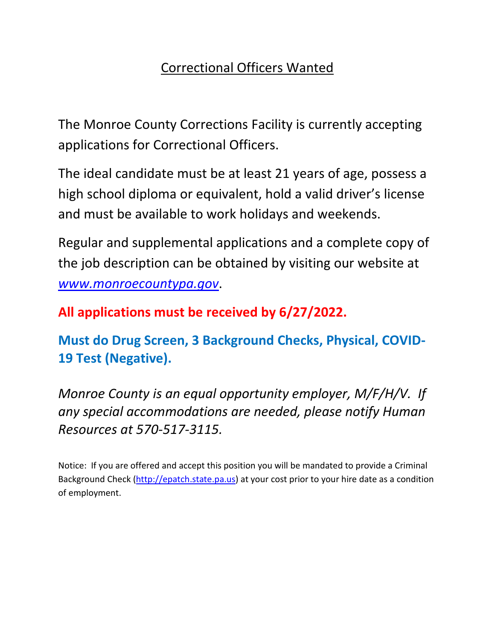# Correctional Officers Wanted

The Monroe County Corrections Facility is currently accepting applications for Correctional Officers.

The ideal candidate must be at least 21 years of age, possess a high school diploma or equivalent, hold a valid driver's license and must be available to work holidays and weekends.

Regular and supplemental applications and a complete copy of the job description can be obtained by visiting our website at *[www.monroecountypa.gov](http://www.monroecountypa.gov/)*.

## **All applications must be received by 6/27/2022.**

**Must do Drug Screen, 3 Background Checks, Physical, COVID-19 Test (Negative).**

*Monroe County is an equal opportunity employer, M/F/H/V. If any special accommodations are needed, please notify Human Resources at 570-517-3115.*

Notice: If you are offered and accept this position you will be mandated to provide a Criminal Background Check [\(http://epatch.state.pa.us\)](http://epatch.state.pa.us/) at your cost prior to your hire date as a condition of employment.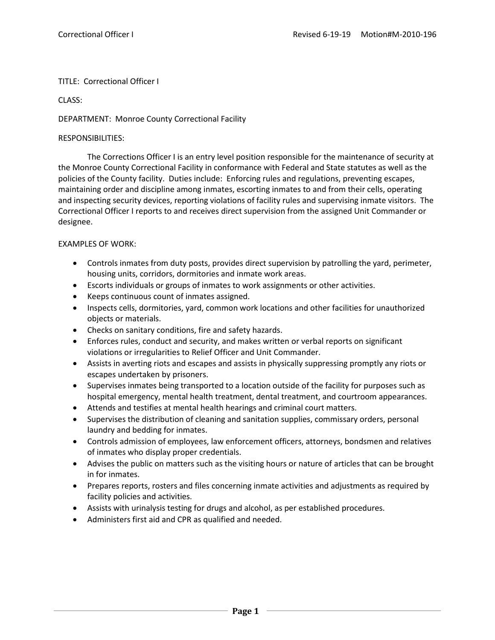#### TITLE: Correctional Officer I

CLASS:

#### DEPARTMENT: Monroe County Correctional Facility

#### RESPONSIBILITIES:

The Corrections Officer I is an entry level position responsible for the maintenance of security at the Monroe County Correctional Facility in conformance with Federal and State statutes as well as the policies of the County facility. Duties include: Enforcing rules and regulations, preventing escapes, maintaining order and discipline among inmates, escorting inmates to and from their cells, operating and inspecting security devices, reporting violations of facility rules and supervising inmate visitors. The Correctional Officer I reports to and receives direct supervision from the assigned Unit Commander or designee.

#### EXAMPLES OF WORK:

- Controls inmates from duty posts, provides direct supervision by patrolling the yard, perimeter, housing units, corridors, dormitories and inmate work areas.
- Escorts individuals or groups of inmates to work assignments or other activities.
- Keeps continuous count of inmates assigned.
- Inspects cells, dormitories, yard, common work locations and other facilities for unauthorized objects or materials.
- Checks on sanitary conditions, fire and safety hazards.
- Enforces rules, conduct and security, and makes written or verbal reports on significant violations or irregularities to Relief Officer and Unit Commander.
- Assists in averting riots and escapes and assists in physically suppressing promptly any riots or escapes undertaken by prisoners.
- Supervises inmates being transported to a location outside of the facility for purposes such as hospital emergency, mental health treatment, dental treatment, and courtroom appearances.
- Attends and testifies at mental health hearings and criminal court matters.
- Supervises the distribution of cleaning and sanitation supplies, commissary orders, personal laundry and bedding for inmates.
- Controls admission of employees, law enforcement officers, attorneys, bondsmen and relatives of inmates who display proper credentials.
- Advises the public on matters such as the visiting hours or nature of articles that can be brought in for inmates.
- Prepares reports, rosters and files concerning inmate activities and adjustments as required by facility policies and activities.
- Assists with urinalysis testing for drugs and alcohol, as per established procedures.
- Administers first aid and CPR as qualified and needed.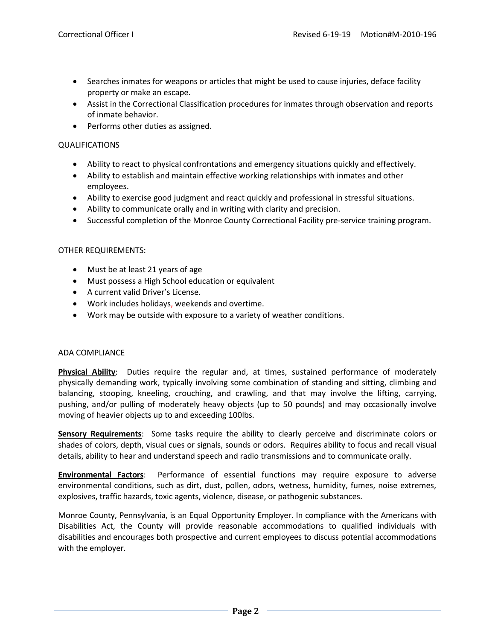- Searches inmates for weapons or articles that might be used to cause injuries, deface facility property or make an escape.
- Assist in the Correctional Classification procedures for inmates through observation and reports of inmate behavior.
- Performs other duties as assigned.

#### QUALIFICATIONS

- Ability to react to physical confrontations and emergency situations quickly and effectively.
- Ability to establish and maintain effective working relationships with inmates and other employees.
- Ability to exercise good judgment and react quickly and professional in stressful situations.
- Ability to communicate orally and in writing with clarity and precision.
- Successful completion of the Monroe County Correctional Facility pre-service training program.

#### OTHER REQUIREMENTS:

- Must be at least 21 years of age
- Must possess a High School education or equivalent
- A current valid Driver's License.
- Work includes holidays, weekends and overtime.
- Work may be outside with exposure to a variety of weather conditions.

#### ADA COMPLIANCE

**Physical Ability**: Duties require the regular and, at times, sustained performance of moderately physically demanding work, typically involving some combination of standing and sitting, climbing and balancing, stooping, kneeling, crouching, and crawling, and that may involve the lifting, carrying, pushing, and/or pulling of moderately heavy objects (up to 50 pounds) and may occasionally involve moving of heavier objects up to and exceeding 100lbs.

**Sensory Requirements**: Some tasks require the ability to clearly perceive and discriminate colors or shades of colors, depth, visual cues or signals, sounds or odors. Requires ability to focus and recall visual details, ability to hear and understand speech and radio transmissions and to communicate orally.

**Environmental Factors**: Performance of essential functions may require exposure to adverse environmental conditions, such as dirt, dust, pollen, odors, wetness, humidity, fumes, noise extremes, explosives, traffic hazards, toxic agents, violence, disease, or pathogenic substances.

Monroe County, Pennsylvania, is an Equal Opportunity Employer. In compliance with the Americans with Disabilities Act, the County will provide reasonable accommodations to qualified individuals with disabilities and encourages both prospective and current employees to discuss potential accommodations with the employer.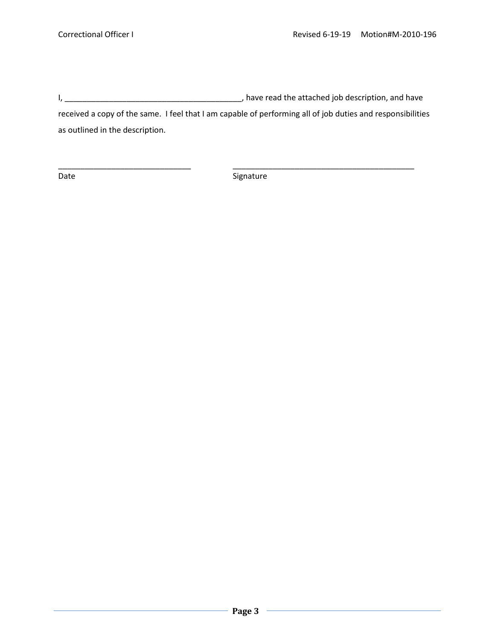I, \_\_\_\_\_\_\_\_\_\_\_\_\_\_\_\_\_\_\_\_\_\_\_\_\_\_\_\_\_\_\_\_\_\_\_\_\_\_\_\_, have read the attached job description, and have received a copy of the same. I feel that I am capable of performing all of job duties and responsibilities as outlined in the description.

Date Signature Signature

\_\_\_\_\_\_\_\_\_\_\_\_\_\_\_\_\_\_\_\_\_\_\_\_\_\_\_\_\_\_ \_\_\_\_\_\_\_\_\_\_\_\_\_\_\_\_\_\_\_\_\_\_\_\_\_\_\_\_\_\_\_\_\_\_\_\_\_\_\_\_\_